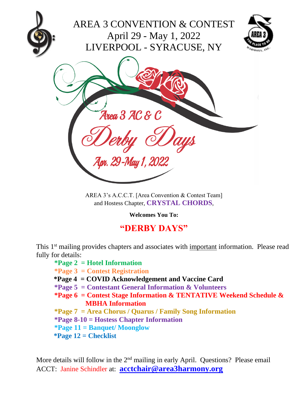

AREA 3's A.C.C.T. [Area Convention & Contest Team] and Hostess Chapter, **CRYSTAL CHORDS**,

**Welcomes You To:**

# **"DERBY DAYS"**

This 1<sup>st</sup> mailing provides chapters and associates with *important* information. Please read fully for details:

#### **\*Page 2 = Hotel Information**

- **\*Page 3 = Contest Registration**
- **\*Page 4 = COVID Acknowledgement and Vaccine Card**
- **\*Page 5 = Contestant General Information & Volunteers**
- **\*Page 6 = Contest Stage Information & TENTATIVE Weekend Schedule & MBHA Information**
- **\*Page 7 = Area Chorus / Quarus / Family Song Information**
- **\*Page 8-10 = Hostess Chapter Information**
- **\*Page 11 = Banquet/ Moonglow**
- **\*Page 12 = Checklist**

More details will follow in the  $2<sup>nd</sup>$  mailing in early April. Questions? Please email ACCT: Janine Schindler at: **[acctchair@area3harmony.org](mailto:acctchair@area3harmony.org)**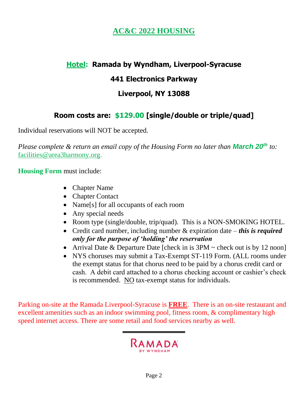## **AC&C 2022 HOUSING**

### **Hotel: Ramada by Wyndham, Liverpool-Syracuse**

### **441 Electronics Parkway**

### **Liverpool, NY 13088**

### **Room costs are: \$129.00 [single/double or triple/quad]**

Individual reservations will NOT be accepted.

*Please complete & return an email copy of the Housing Form no later than March 20th to:* [facilities@area3harmony.org.](mailto:facilities@area3harmony.org)

**Housing Form** must include:

- Chapter Name
- Chapter Contact
- Name<sup>[s]</sup> for all occupants of each room
- Any special needs
- Room type (single/double, trip/quad). This is a NON-SMOKING HOTEL.
- Credit card number, including number & expiration date *this is required only for the purpose of 'holding' the reservation*
- Arrival Date & Departure Date [check in is  $3PM \sim$  check out is by 12 noon]
- NYS choruses may submit a Tax-Exempt ST-119 Form. (ALL rooms under the exempt status for that chorus need to be paid by a chorus credit card or cash. A debit card attached to a chorus checking account or cashier's check is recommended. NO tax-exempt status for individuals.

Parking on-site at the Ramada Liverpool-Syracuse is **FREE**. There is an on-site restaurant and excellent [amenities](http://www.holidayinnbinghamton.com/guest-services.html) such as an indoor swimming pool, fitness room, & complimentary high speed internet access. There are some retail and food services nearby as well.

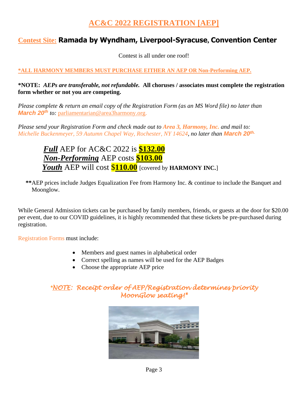### **AC&C 2022 REGISTRATION [AEP]**

#### **Contest Site: Ramada by Wyndham, Liverpool-Syracuse, Convention Center**

Contest is all under one roof!

#### **\*ALL HARMONY MEMBERS MUST PURCHASE EITHER AN AEP OR Non-Performing AEP.**

#### **\*NOTE:** *AEPs are transferable, not refundable.* **All choruses / associates must complete the registration form whether or not you are competing.**

*Please complete & return an email copy of the Registration Form (as an MS Word file) no later than March 20<sup>th</sup> to:* [parliamentarian@area3harmony.org.](mailto:parliamentarian@area3harmony.org)

*Please send your Registration Form and check made out to Area 3, Harmony, Inc. and mail to: Michelle Buckenmeyer, 59 Autumn Chapel Way, Rochester, NY 14624, no later than March 20th.*

### *Full* AEP for AC&C 2022 is **\$132.00** *Non-Performing* AEP costs **\$103.00** *Youth* AEP will cost \$**110.00** [covered by **HARMONY INC.**]

 **\*\***AEP prices include Judges Equalization Fee from Harmony Inc. & continue to include the Banquet and Moonglow.

While General Admission tickets can be purchased by family members, friends, or guests at the door for \$20.00 per event, due to our COVID guidelines, it is highly recommended that these tickets be pre-purchased during registration.

Registration Forms must include:

- Members and guest names in alphabetical order
- Correct spelling as names will be used for the AEP Badges
- Choose the appropriate AEP price

#### *\*NOTE: Receipt order of AEP/Registration determines priority MoonGlow seating!\**

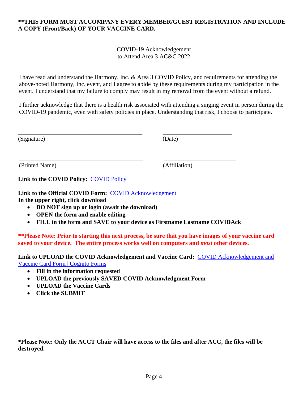#### **\*\*THIS FORM MUST ACCOMPANY EVERY MEMBER/GUEST REGISTRATION AND INCLUDE A COPY (Front/Back) OF YOUR VACCINE CARD.**

COVID-19 Acknowledgement to Attend Area 3 AC&C 2022

I have read and understand the Harmony, Inc. & Area 3 COVID Policy, and requirements for attending the above-noted Harmony, Inc. event, and I agree to abide by these requirements during my participation in the event. I understand that my failure to comply may result in my removal from the event without a refund.

I further acknowledge that there is a health risk associated with attending a singing event in person during the COVID-19 pandemic, even with safety policies in place. Understanding that risk, I choose to participate.

| (Signature) | (Date) |
|-------------|--------|
|             |        |

(Printed Name) (Affiliation)

Link to the [COVID Policy](https://app.box.com/s/qhuo46mp0bvv2006han6u8y4387u4ht2): COVID Policy

**Link to the Official COVID Form:** [COVID Acknowledgement](https://app.box.com/s/vatn9ykemt68puj35gx091hvtab2dii7) **In the upper right, click download**

- **DO NOT sign up or login (await the download)**
- **OPEN the form and enable editing**
- **FILL in the form and SAVE to your device as Firstname Lastname COVIDAck**

\_\_\_\_\_\_\_\_\_\_\_\_\_\_\_\_\_\_\_\_\_\_\_\_\_\_\_\_\_\_\_\_\_\_\_\_\_\_\_\_\_\_\_ \_\_\_\_\_\_\_\_\_\_\_\_\_\_\_\_\_\_\_\_\_\_\_\_

\_\_\_\_\_\_\_\_\_\_\_\_\_\_\_\_\_\_\_\_\_\_\_\_\_\_\_\_\_\_\_\_\_\_\_\_\_\_\_\_\_ \_\_\_\_\_\_\_\_\_\_\_\_\_\_\_\_\_\_\_\_\_\_\_\_

**\*\*Please Note: Prior to starting this next process, be sure that you have images of your vaccine card saved to your device. The entire process works well on computers and** *most* **other devices.**

**Link to UPLOAD the COVID Acknowledgement and Vaccine Card:** [COVID Acknowledgement and](https://www.cognitoforms.com/Area3HarmonyInc/covidacknowledgementandvaccinecardform2)  [Vaccine Card Form | Cognito Forms](https://www.cognitoforms.com/Area3HarmonyInc/covidacknowledgementandvaccinecardform2)

- **Fill in the information requested**
- **UPLOAD the previously SAVED COVID Acknowledgment Form**
- **UPLOAD the Vaccine Cards**
- **Click the SUBMIT**

**\*Please Note: Only the ACCT Chair will have access to the files and after ACC, the files will be destroyed.**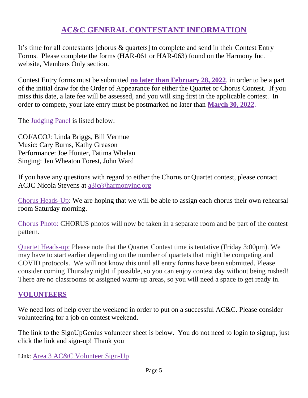### **AC&C GENERAL CONTESTANT INFORMATION**

It's time for all contestants [chorus & quartets] to complete and send in their Contest Entry Forms. Please complete the forms (HAR-061 or HAR-063) found on the Harmony Inc. website, Members Only section.

Contest Entry forms must be submitted **no later than February 28, 2022**, in order to be a part of the initial draw for the Order of Appearance for either the Quartet or Chorus Contest. If you miss this date, a late fee will be assessed, and you will sing first in the applicable contest. In order to compete, your late entry must be postmarked no later than **March 30, 2022**.

The Judging Panel is listed below:

COJ/ACOJ: Linda Briggs, Bill Vermue Music: Cary Burns, Kathy Greason Performance: Joe Hunter, Fatima Whelan Singing: Jen Wheaton Forest, John Ward

If you have any questions with regard to either the Chorus or Quartet contest, please contact ACJC Nicola Stevens at [a3jc@harmonyinc.org](mailto:a3jc@harmonyinc.org)

Chorus Heads-Up: We are hoping that we will be able to assign each chorus their own rehearsal room Saturday morning.

Chorus Photo: CHORUS photos will now be taken in a separate room and be part of the contest pattern.

Quartet Heads-up: Please note that the Quartet Contest time is tentative (Friday 3:00pm). We may have to start earlier depending on the number of quartets that might be competing and COVID protocols. We will not know this until all entry forms have been submitted. Please consider coming Thursday night if possible, so you can enjoy contest day without being rushed! There are no classrooms or assigned warm-up areas, so you will need a space to get ready in.

#### **VOLUNTEERS**

We need lots of help over the weekend in order to put on a successful AC&C. Please consider volunteering for a job on contest weekend.

The link to the SignUpGenius volunteer sheet is below. You do not need to login to signup, just click the link and sign-up! Thank you

Link: [Area 3 AC&C Volunteer Sign-Up](https://www.signupgenius.com/tabs/13574d700a3cfe8c35-area2022)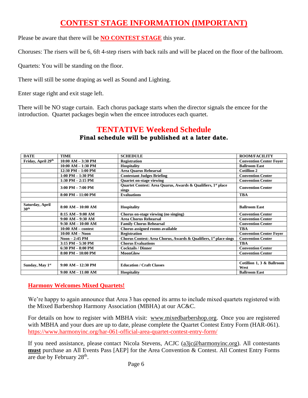### **CONTEST STAGE INFORMATION (IMPORTANT)**

Please be aware that there will be **NO CONTEST STAGE** this year.

Choruses: The risers will be 6, 6ft 4-step risers with back rails and will be placed on the floor of the ballroom.

Quartets: You will be standing on the floor.

There will still be some draping as well as Sound and Lighting.

Enter stage right and exit stage left.

There will be NO stage curtain. Each chorus package starts when the director signals the emcee for the introduction. Quartet packages begin when the emcee introduces each quartet.

#### **TENTATIVE Weekend Schedule Final schedule will be published at a later date.**

| <b>DATE</b>                         | <b>TIME</b>            | <b>SCHEDULE</b>                                                                   | <b>ROOM/FACILITY</b>              |
|-------------------------------------|------------------------|-----------------------------------------------------------------------------------|-----------------------------------|
| Friday, April 29 <sup>th</sup>      | $10:00$ AM $-$ 3:30 PM | <b>Registration</b>                                                               | <b>Convention Center Foyer</b>    |
|                                     | $10:00$ AM $- 1:30$ PM | <b>Hospitality</b>                                                                | <b>Ballroom East</b>              |
|                                     | $12:30$ PM $- 1:00$ PM | <b>Area Quarus Rehearsal</b>                                                      | <b>Cotillion 2</b>                |
|                                     | $1:00$ PM $- 1:30$ PM  | <b>Contestant Judges Briefing</b>                                                 | <b>Convention Center</b>          |
|                                     | $1:30$ PM $- 2:15$ PM  | <b>Quartet on-stage viewing</b>                                                   | <b>Convention Center</b>          |
|                                     | $3:00$ PM $- 7:00$ PM  | Quartet Contest: Area Quarus, Awards & Qualifiers, 1 <sup>st</sup> place<br>sings | <b>Convention Center</b>          |
|                                     | $8:00$ PM $- 11:00$ PM | <b>Evaluations</b>                                                                | <b>TBA</b>                        |
|                                     |                        |                                                                                   |                                   |
| Saturday, April<br>30 <sup>th</sup> | $8:00 AM - 10:00 AM$   | <b>Hospitality</b>                                                                | <b>Ballroom East</b>              |
|                                     | $8:15$ AM $-$ 9:00 AM  | Chorus on-stage viewing (no singing)                                              | <b>Convention Center</b>          |
|                                     | $9:00$ AM $- 9:30$ AM  | <b>Area Chorus Rehearsal</b>                                                      | <b>Convention Center</b>          |
|                                     | $9:30 AM - 10:00 AM$   | <b>Family Chorus Rehearsal</b>                                                    | <b>Convention Center</b>          |
|                                     | $10:00$ AM – contest   | Chorus assigned rooms available                                                   | <b>TBA</b>                        |
|                                     | $10:00 AM - N00$       | <b>Registration</b>                                                               | <b>Convention Center Foyer</b>    |
|                                     | $Noon - 2:45 PM$       | Chorus Contest: Area Chorus, Awards & Qualifiers, 1 <sup>st</sup> place sings     | <b>Convention Center</b>          |
|                                     | $3:15$ PM $- 5:30$ PM  | <b>Chorus Evaluations</b>                                                         | <b>TBA</b>                        |
|                                     | 6:30 PM $-$ 8:00 PM    | <b>Cocktails / Dinner</b>                                                         | <b>Convention Center</b>          |
|                                     | $8:00$ PM $- 10:00$ PM | <b>MoonGlow</b>                                                                   | <b>Convention Center</b>          |
|                                     |                        |                                                                                   |                                   |
| Sunday, May 1st                     | $9:00 AM - 12:30 PM$   | <b>Education / Craft Classes</b>                                                  | Cotillion 1, 3 & Ballroom<br>West |
|                                     | $9:00 AM - 11:00 AM$   | <b>Hospitality</b>                                                                | <b>Ballroom East</b>              |

#### **Harmony Welcomes Mixed Quartets!**

We're happy to again announce that Area 3 has opened its arms to include mixed quartets registered with the Mixed Barbershop Harmony Association (MBHA) at our AC&C.

For details on how to register with MBHA visit: [www.mixedbarbershop.org.](http://www.mixedbarbershop.org/) Once you are registered with MBHA and your dues are up to date, please complete the Quartet Contest Entry Form (HAR-061). <https://www.harmonyinc.org/har-061-official-area-quartet-contest-entry-form/>

If you need assistance, please contact Nicola Stevens, ACJC [\(a3jc@harmonyinc.org\)](mailto:a3jc@harmonyinc.org). All contestants **must** purchase an All Events Pass [AEP] for the Area Convention & Contest. All Contest Entry Forms are due by February  $28<sup>th</sup>$ .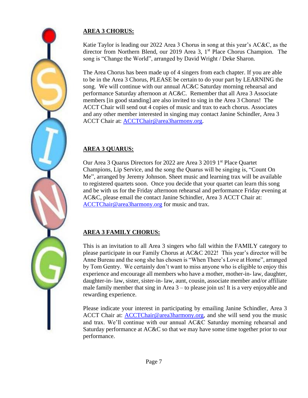#### **AREA 3 CHORUS:**

Katie Taylor is leading our 2022 Area 3 Chorus in song at this year's AC&C, as the director from Northern Blend, our 2019 Area 3, 1<sup>st</sup> Place Chorus Champion. The song is "Change the World", arranged by David Wright / Deke Sharon.

The Area Chorus has been made up of 4 singers from each chapter. If you are able to be in the Area 3 Chorus, PLEASE be certain to do your part by LEARNING the song. We will continue with our annual AC&C Saturday morning rehearsal and performance Saturday afternoon at AC&C. Remember that all Area 3 Associate members [in good standing] are also invited to sing in the Area 3 Chorus! The ACCT Chair will send out 4 copies of music and trax to each chorus. Associates and any other member interested in singing may contact Janine Schindler, Area 3 ACCT Chair at: [ACCTChair@area3harmony.org.](mailto:ACCTChair@area3harmony.org)

#### **AREA 3 QUARUS:**

Our Area 3 Quarus Directors for 2022 are Area 3 2019 1<sup>st</sup> Place Quartet Champions, Lip Service, and the song the Quarus will be singing is, "Count On Me", arranged by Jeremy Johnson. Sheet music and learning trax will be available to registered quartets soon. Once you decide that your quartet can learn this song and be with us for the Friday afternoon rehearsal and performance Friday evening at AC&C, please email the contact Janine Schindler, Area 3 ACCT Chair at: [ACCTChair@area3harmony.org](mailto:ACCTChair@area3harmony.org) for music and trax.

#### **AREA 3 FAMILY CHORUS:**

This is an invitation to all Area 3 singers who fall within the FAMILY category to please participate in our Family Chorus at AC&C 2022! This year's director will be Anne Bureau and the song she has chosen is "When There's Love at Home", arranged by Tom Gentry. We certainly don't want to miss anyone who is eligible to enjoy this experience and encourage all members who have a mother, mother-in- law, daughter, daughter-in- law, sister, sister-in- law, aunt, cousin, associate member and/or affiliate male family member that sing in Area 3 – to please join us! It is a very enjoyable and rewarding experience.

Please indicate your interest in participating by emailing Janine Schindler, Area 3 ACCT Chair at: [ACCTChair@area3harmony.org,](mailto:ACCTChair@area3harmony.org) and she will send you the music and trax. We'll continue with our annual AC&C Saturday morning rehearsal and Saturday performance at AC&C so that we may have some time together prior to our performance.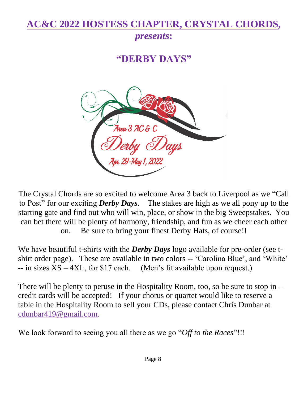# **AC&C 2022 HOSTESS CHAPTER, CRYSTAL CHORDS,**

## *presents***:**

# **"DERBY DAYS"**



The Crystal Chords are so excited to welcome Area 3 back to Liverpool as we "Call to Post" for our exciting *Derby Days*. The stakes are high as we all pony up to the starting gate and find out who will win, place, or show in the big Sweepstakes. You can bet there will be plenty of harmony, friendship, and fun as we cheer each other on. Be sure to bring your finest Derby Hats, of course!!

We have beautiful t-shirts with the *Derby Days* logo available for pre-order (see tshirt order page). These are available in two colors -- 'Carolina Blue', and 'White'  $-$  in sizes  $XS - 4XL$ , for \$17 each. (Men's fit available upon request.)

There will be plenty to peruse in the Hospitality Room, too, so be sure to stop in – credit cards will be accepted! If your chorus or quartet would like to reserve a table in the Hospitality Room to sell your CDs, please contact Chris Dunbar at [cdunbar419@gmail.com.](mailto:cdunbar419@gmail.com)

We look forward to seeing you all there as we go "*Off to the Races*"!!!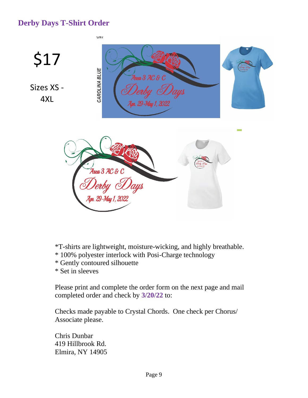### **Derby Days T-Shirt Order**



- \*T-shirts are lightweight, moisture-wicking, and highly breathable.
- \* 100% polyester interlock with Posi-Charge technology
- \* Gently contoured silhouette
- \* Set in sleeves

Please print and complete the order form on the next page and mail completed order and check by **3/20/22** to:

Checks made payable to Crystal Chords. One check per Chorus/ Associate please.

Chris Dunbar 419 Hillbrook Rd. Elmira, NY 14905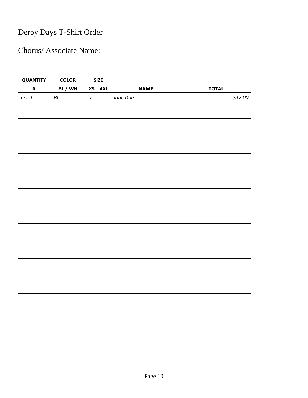# Derby Days T-Shirt Order

Chorus/ Associate Name: \_\_\_\_\_\_\_\_\_\_\_\_\_\_\_\_\_\_\_\_\_\_\_\_\_\_\_\_\_\_\_\_\_\_\_\_\_\_\_\_\_\_\_\_

| <b>QUANTITY</b> | <b>COLOR</b> | <b>SIZE</b>   |             |              |
|-----------------|--------------|---------------|-------------|--------------|
| $\pmb{\sharp}$  | BL/WH        | $XS - 4XL$    | <b>NAME</b> | <b>TOTAL</b> |
| ex: 1           | $\cal BL$    | $\mathcal{L}$ | Jane Doe    | \$17.00      |
|                 |              |               |             |              |
|                 |              |               |             |              |
|                 |              |               |             |              |
|                 |              |               |             |              |
|                 |              |               |             |              |
|                 |              |               |             |              |
|                 |              |               |             |              |
|                 |              |               |             |              |
|                 |              |               |             |              |
|                 |              |               |             |              |
|                 |              |               |             |              |
|                 |              |               |             |              |
|                 |              |               |             |              |
|                 |              |               |             |              |
|                 |              |               |             |              |
|                 |              |               |             |              |
|                 |              |               |             |              |
|                 |              |               |             |              |
|                 |              |               |             |              |
|                 |              |               |             |              |
|                 |              |               |             |              |
|                 |              |               |             |              |
|                 |              |               |             |              |
|                 |              |               |             |              |
|                 |              |               |             |              |
|                 |              |               |             |              |
|                 |              |               |             |              |
|                 |              |               |             |              |
|                 |              |               |             |              |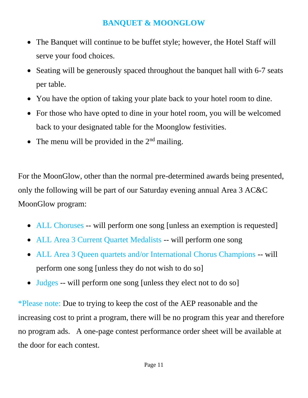### **BANQUET & MOONGLOW**

- The Banquet will continue to be buffet style; however, the Hotel Staff will serve your food choices.
- Seating will be generously spaced throughout the banquet hall with 6-7 seats per table.
- You have the option of taking your plate back to your hotel room to dine.
- For those who have opted to dine in your hotel room, you will be welcomed back to your designated table for the Moonglow festivities.
- The menu will be provided in the  $2<sup>nd</sup>$  mailing.

For the MoonGlow, other than the normal pre-determined awards being presented, only the following will be part of our Saturday evening annual Area 3 AC&C MoonGlow program:

- ALL Choruses -- will perform one song [unless an exemption is requested]
- ALL Area 3 Current Quartet Medalists -- will perform one song
- ALL Area 3 Queen quartets and/or International Chorus Champions -- will perform one song [unless they do not wish to do so]
- Judges -- will perform one song [unless they elect not to do so]

\*Please note: Due to trying to keep the cost of the AEP reasonable and the increasing cost to print a program, there will be no program this year and therefore no program ads. A one-page contest performance order sheet will be available at the door for each contest.